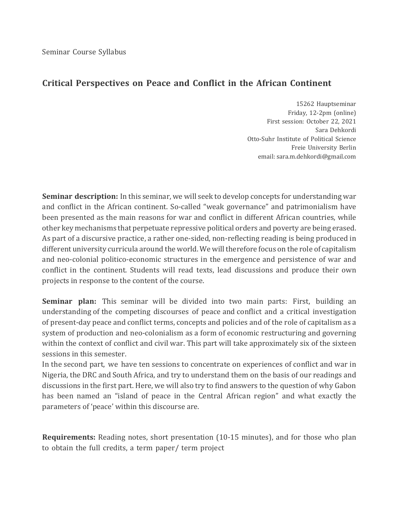## **Critical Perspectives on Peace and Conflict in the African Continent**

15262 Hauptseminar Friday, 12-2pm (online) First session: October 22, 2021 Sara Dehkordi Otto-Suhr Institute of Political Science Freie University Berlin email: sara.m.dehkordi@gmail.com

**Seminar description:** In this seminar, we will seek to develop concepts for understanding war and conflict in the African continent. So-called "weak governance" and patrimonialism have been presented as the main reasons for war and conflict in different African countries, while other key mechanisms that perpetuate repressive political orders and poverty are being erased. As part of a discursive practice, a rather one-sided, non-reflecting reading is being produced in different university curricula around the world. We will therefore focus on the role of capitalism and neo-colonial politico-economic structures in the emergence and persistence of war and conflict in the continent. Students will read texts, lead discussions and produce their own projects in response to the content of the course.

**Seminar plan:** This seminar will be divided into two main parts: First, building an understanding of the competing discourses of peace and conflict and a critical investigation of present-day peace and conflict terms, concepts and policies and of the role of capitalism as a system of production and neo-colonialism as a form of economic restructuring and governing within the context of conflict and civil war. This part will take approximately six of the sixteen sessions in this semester.

In the second part, we have ten sessions to concentrate on experiences of conflict and war in Nigeria, the DRC and South Africa, and try to understand them on the basis of our readings and discussions in the first part. Here, we will also try to find answers to the question of why Gabon has been named an "island of peace in the Central African region" and what exactly the parameters of 'peace' within this discourse are.

**Requirements:** Reading notes, short presentation (10-15 minutes), and for those who plan to obtain the full credits, a term paper/ term project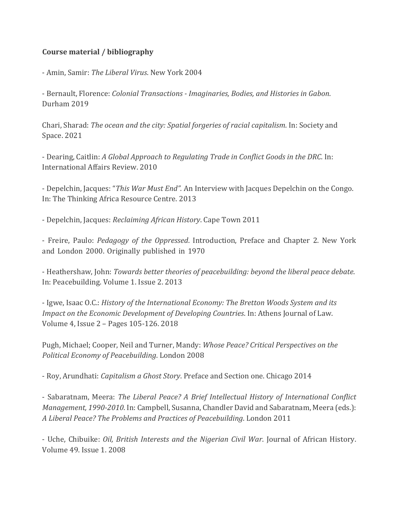## **Course material / bibliography**

- Amin, Samir: The Liberal Virus. New York 2004

- Bernault, Florence: *Colonial Transactions - Imaginaries, Bodies, and Histories in Gabon*. Durham 2019

Chari, Sharad: *The ocean and the city: Spatial forgeries of racial capitalism*. In: Society and Space. 2021

- Dearing, Caitlin: *A Global Approach to Regulating Trade in Conflict Goods in the DRC*. In: International Affairs Review. 2010

- Depelchin, Jacques: "This War Must End". An Interview with Jacques Depelchin on the Congo. In: The Thinking Africa Resource Centre. 2013

- Depelchin, Jacques: *Reclaiming African History*. Cape Town 2011

- Freire, Paulo: *Pedagogy of the Oppressed*. Introduction, Preface and Chapter 2. New York and London 2000. Originally published in 1970

- Heathershaw, John: *Towards better theories of peacebuilding: beyond the liberal peace debate.* In: Peacebuilding. Volume 1. Issue 2. 2013

- Igwe, Isaac O.C.: *History of the International Economy: The Bretton Woods System and its Impact on the Economic Development of Developing Countries.* In: Athens Journal of Law. Volume 4, Issue 2 - Pages 105-126. 2018

Pugh, Michael; Cooper, Neil and Turner, Mandy: *Whose Peace? Critical Perspectives on the Political Economy of Peacebuilding*. London 2008 

- Roy, Arundhati: *Capitalism a Ghost Story*. Preface and Section one. Chicago 2014

- Sabaratnam, Meera: *The Liberal Peace? A Brief Intellectual History of International Conflict Management, 1990-2010*. In: Campbell, Susanna, Chandler David and Sabaratnam, Meera (eds.): *A Liberal Peace? The Problems and Practices of Peacebuilding*. London 2011

- Uche, Chibuike: *Oil, British Interests and the Nigerian Civil War*. Journal of African History. Volume 49. Issue 1. 2008